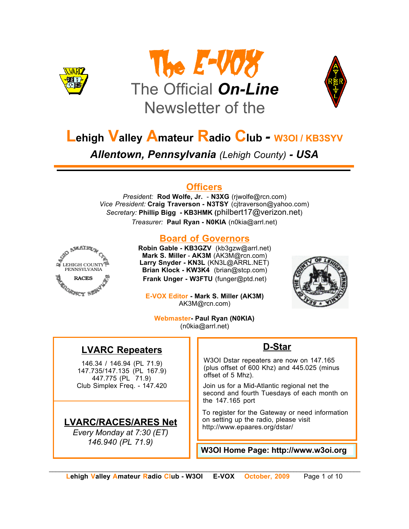





# **Lehigh Valley Amateur Radio Club** *-* **W3OI / KB3SYV**

*Allentown, Pennsylvania (Lehigh County) - USA*

## **Officers**

*President:* **Rod Wolfe, Jr.** - **N3XG** (rjwolfe@rcn.com) *Vice President:* **Craig Traverson - N3TSY** (cjtraverson@yahoo.com) *Secretary:* **Phillip Bigg - KB3HMK (**philbert17@verizon.net) *Treasurer:* **Paul Ryan - N0KIA** (n0kia@arrl.net)



## **Board of Governors**

**Robin Gable - KB3GZV** (kb3gzw@arrl.net) **Mark S. Miller** - **AK3M** (AK3M@rcn.com) **Larry Snyder - KN3L** (KN3L@ARRL.NET) **Brian Klock - KW3K4** (brian@stcp.com) **Frank Unger - W3FTU** (funger@ptd.net)

**E-VOX Editor - Mark S. Miller (AK3M)** AK3M@rcn.com)



**Webmaster- Paul Ryan (N0KIA)** (n0kia@arrl.net)

## **LVARC Repeaters**

146.34 / 146.94 (PL 71.9) 147.735/147.135 (PL 167.9) 447.775 (PL 71.9) Club Simplex Freq. - 147.420

## **LVARC/RACES/ARES Net**

*Every Monday at 7:30 (ET) 146.940 (PL 71.9)*

## **D-Star**

W3OI Dstar repeaters are now on 147.165 (plus offset of 600 Khz) and 445.025 (minus offset of 5 Mhz).

Join us for a Mid-Atlantic regional net the second and fourth Tuesdays of each month on the 147.165 port

To register for the Gateway or need information on setting up the radio, please visit http://www.epaares.org/dstar/

**W3OI Home Page: http://www.w3oi.org**

*\_\_\_\_\_\_\_\_\_\_\_\_\_\_\_\_\_\_\_\_\_\_\_\_\_\_\_\_\_\_\_\_\_\_\_\_\_\_\_\_\_\_\_\_\_\_\_\_\_\_\_\_\_\_\_\_\_\_\_\_\_\_\_\_\_\_\_\_\_\_\_\_\_\_\_\_\_\_\_\_\_\_\_\_\_\_\_\_\_\_\_\_\_*  **Lehigh Valley Amateur Radio Club - W3OI E-VOX October, 2009** Page 1 of 10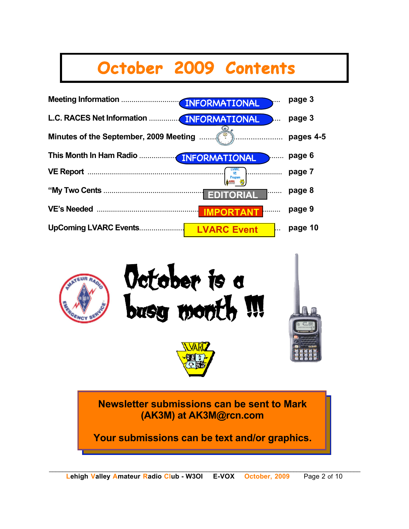# **October 2009 Contents**





**Newsletter submissions can be sent to Mark (AK3M) at AK3M@rcn.com**

**Your submissions can be text and/or graphics.**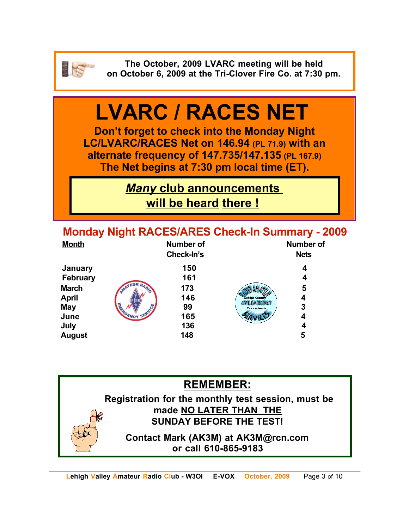

**The October, 2009 LVARC meeting will be held on October 6, 2009 at the Tri-Clover Fire Co. at 7:30 pm.**

# **LVARC / RACES NET**

**Don't forget to check into the Monday Night LC/LVARC/RACES Net on 146.94 (PL 71.9) with an alternate frequency of 147.735/147.135 (PL 167.9) The Net begins at 7:30 pm local time (ET).** 

> *Many* **club announcements will be heard there !**

**Monday Night RACES/ARES Check-In Summary - 2009**

| <b>Month</b>                 | <b>Number of</b><br>Check-In's                                                           | <b>Number of</b><br><b>Nets</b> |
|------------------------------|------------------------------------------------------------------------------------------|---------------------------------|
| January<br><b>February</b>   | 150<br>161                                                                               | 4<br>4                          |
| <b>March</b><br><b>April</b> | <b>IR RADIO</b><br><b>SATE!</b><br>173<br>146<br>Lehigh County<br><b>CIVIL EMERGENCY</b> | 5<br>4                          |
| <b>May</b><br>June           | <b>SERVEY</b><br>99<br>Pennsylvania<br>165                                               | 3<br>4                          |
| July<br><b>August</b>        | 136<br>148                                                                               | 4<br>5                          |

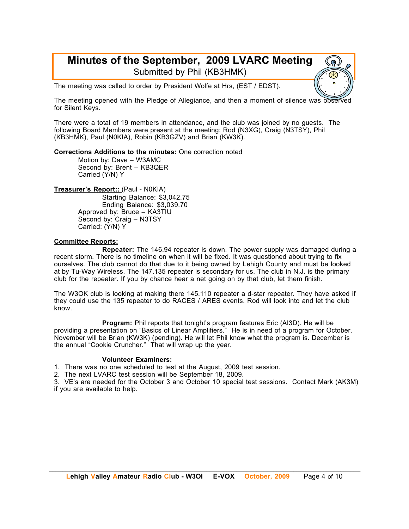### **Minutes of the September, 2009 LVARC Meeting** Submitted by Phil (KB3HMK)

The meeting was called to order by President Wolfe at Hrs, (EST / EDST).

The meeting opened with the Pledge of Allegiance, and then a moment of silence was observed for Silent Keys.

There were a total of 19 members in attendance, and the club was joined by no guests. The following Board Members were present at the meeting: Rod (N3XG), Craig (N3TSY), Phil (KB3HMK), Paul (N0KIA), Robin (KB3GZV) and Brian (KW3K).

#### **Corrections Additions to the minutes:** One correction noted

Motion by: Dave – W3AMC Second by: Brent – KB3QER Carried (Y/N) Y

**Treasurer's Report::** (Paul - N0KIA)

Starting Balance: \$3,042.75 Ending Balance: \$3,039.70 Approved by: Bruce – KA3TIU Second by: Craig – N3TSY Carried: (Y/N) Y

#### **Committee Reports:**

**Repeater:** The 146.94 repeater is down. The power supply was damaged during a recent storm. There is no timeline on when it will be fixed. It was questioned about trying to fix ourselves. The club cannot do that due to it being owned by Lehigh County and must be looked at by Tu-Way Wireless. The 147.135 repeater is secondary for us. The club in N.J. is the primary club for the repeater. If you by chance hear a net going on by that club, let them finish.

The W3OK club is looking at making there 145.110 repeater a d-star repeater. They have asked if they could use the 135 repeater to do RACES / ARES events. Rod will look into and let the club know.

**Program:** Phil reports that tonight's program features Eric (AI3D). He will be providing a presentation on "Basics of Linear Amplifiers." He is in need of a program for October. November will be Brian (KW3K) (pending). He will let Phil know what the program is. December is the annual "Cookie Cruncher." That will wrap up the year.

#### **Volunteer Examiners:**

1. There was no one scheduled to test at the August, 2009 test session.

2. The next LVARC test session will be September 18, 2009.

3. VE's are needed for the October 3 and October 10 special test sessions. Contact Mark (AK3M) if you are available to help.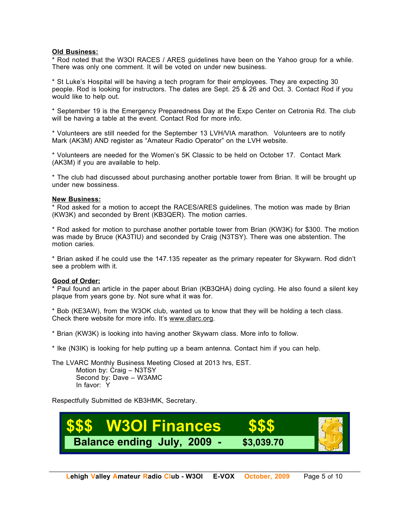#### **Old Business:**

\* Rod noted that the W3OI RACES / ARES guidelines have been on the Yahoo group for a while. There was only one comment. It will be voted on under new business.

\* St Luke's Hospital will be having a tech program for their employees. They are expecting 30 people. Rod is looking for instructors. The dates are Sept. 25 & 26 and Oct. 3. Contact Rod if you would like to help out.

\* September 19 is the Emergency Preparedness Day at the Expo Center on Cetronia Rd. The club will be having a table at the event. Contact Rod for more info.

\* Volunteers are still needed for the September 13 LVH/VIA marathon. Volunteers are to notify Mark (AK3M) AND register as "Amateur Radio Operator" on the LVH website.

\* Volunteers are needed for the Women's 5K Classic to be held on October 17. Contact Mark (AK3M) if you are available to help.

\* The club had discussed about purchasing another portable tower from Brian. It will be brought up under new bossiness.

#### **New Business:**

\* Rod asked for a motion to accept the RACES/ARES guidelines. The motion was made by Brian (KW3K) and seconded by Brent (KB3QER). The motion carries.

\* Rod asked for motion to purchase another portable tower from Brian (KW3K) for \$300. The motion was made by Bruce (KA3TIU) and seconded by Craig (N3TSY). There was one abstention. The motion caries.

\* Brian asked if he could use the 147.135 repeater as the primary repeater for Skywarn. Rod didn't see a problem with it.

#### **Good of Order:**

\* Paul found an article in the paper about Brian (KB3QHA) doing cycling. He also found a silent key plaque from years gone by. Not sure what it was for.

\* Bob (KE3AW), from the W3OK club, wanted us to know that they will be holding a tech class. Check there website for more info. It's www.dlarc.org.

\* Brian (KW3K) is looking into having another Skywarn class. More info to follow.

\* Ike (N3IK) is looking for help putting up a beam antenna. Contact him if you can help.

The LVARC Monthly Business Meeting Closed at 2013 hrs, EST. Motion by: Craig – N3TSY Second by: Dave – W3AMC In favor: Y

Respectfully Submitted de KB3HMK, Secretary.

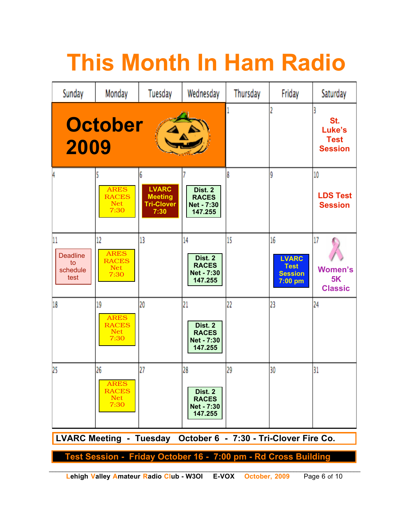# **This Month In Ham Radio**

| Sunday                                                         | Monday                                                  | Tuesday                                                     | Wednesday                                                     | Thursday | Friday                                                         | Saturday                                     |  |  |
|----------------------------------------------------------------|---------------------------------------------------------|-------------------------------------------------------------|---------------------------------------------------------------|----------|----------------------------------------------------------------|----------------------------------------------|--|--|
| 2009                                                           | <b>October</b>                                          |                                                             |                                                               |          | St.<br>Luke's<br><b>Test</b><br><b>Session</b>                 |                                              |  |  |
| 4                                                              | <b>ARES</b><br><b>RACES</b><br><b>Net</b><br>7:30       | <b>LVARC</b><br><b>Meeting</b><br><b>Tri-Clover</b><br>7:30 | Dist. 2<br><b>RACES</b><br>Net - 7:30<br>147.255              | 8        | g                                                              | 10<br><b>LDS Test</b><br><b>Session</b>      |  |  |
| 11<br><b>Deadline</b><br>to<br>schedule<br>test                | 12<br><b>ARES</b><br><b>RACES</b><br><b>Net</b><br>7:30 | 13                                                          | 14<br>Dist. 2<br><b>RACES</b><br><b>Net - 7:30</b><br>147.255 | 15       | 16<br><b>LVARC</b><br><b>Test</b><br><b>Session</b><br>7:00 pm | 17<br><b>Women's</b><br>5K<br><b>Classic</b> |  |  |
| 18                                                             | 19<br><b>ARES</b><br><b>RACES</b><br><b>Net</b><br>7:30 | 20                                                          | 21<br>Dist. 2<br><b>RACES</b><br>Net - 7:30<br>147.255        | 22       | 23                                                             | 24                                           |  |  |
| 25                                                             | 26<br><b>ARES</b><br><b>RACES</b><br><b>Net</b><br>7:30 | 27                                                          | 28<br>Dist. 2<br><b>RACES</b><br>Net - 7:30<br>147.255        | 29       | 30                                                             | 31                                           |  |  |
| LVARC Meeting - Tuesday October 6 - 7:30 - Tri-Clover Fire Co. |                                                         |                                                             |                                                               |          |                                                                |                                              |  |  |
| Test Session - Friday October 16 - 7:00 pm - Rd Cross Building |                                                         |                                                             |                                                               |          |                                                                |                                              |  |  |

**Lehigh Valley Amateur Radio Club - W3OI E-VOX October, 2009** Page 6 of 10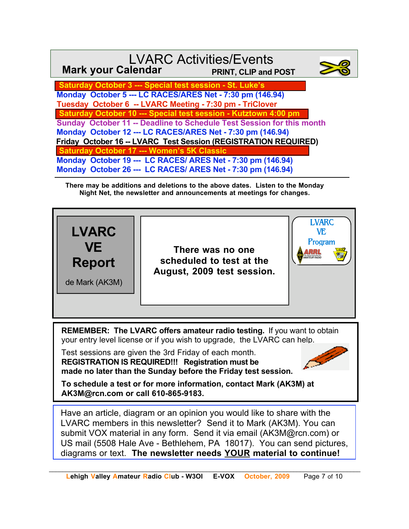| <b>Mark your Calendar</b>                                             | <b>LVARC Activities/Events</b><br>PRINT, CLIP and POST |  |  |  |  |
|-----------------------------------------------------------------------|--------------------------------------------------------|--|--|--|--|
| <b>Saturday October 3 --- Special test session - St. Luke's</b>       |                                                        |  |  |  |  |
| Monday October 5 --- LC RACES/ARES Net - 7:30 pm (146.94)             |                                                        |  |  |  |  |
| Tuesday October 6 -- LVARC Meeting - 7:30 pm - TriClover              |                                                        |  |  |  |  |
| Saturday October 10 --- Special test session - Kutztown 4:00 pm       |                                                        |  |  |  |  |
| Sunday October 11 -- Deadline to Schedule Test Session for this month |                                                        |  |  |  |  |
| Monday October 12 --- LC RACES/ARES Net - 7:30 pm (146.94)            |                                                        |  |  |  |  |
| Friday October 16 -- LVARC Test Session (REGISTRATION REQUIRED)       |                                                        |  |  |  |  |
| <b>Saturday October 17 --- Women's 5K Classic</b>                     |                                                        |  |  |  |  |
| Monday October 19 --- LC RACES/ ARES Net - 7:30 pm (146.94)           |                                                        |  |  |  |  |
| Monday October 26 --- LC RACES/ ARES Net - 7:30 pm (146.94)           |                                                        |  |  |  |  |

**There may be additions and deletions to the above dates. Listen to the Monday Night Net, the newsletter and announcements at meetings for changes.**



**REMEMBER: The LVARC offers amateur radio testing.** If you want to obtain your entry level license or if you wish to upgrade, the LVARC can help.

Test sessions are given the 3rd Friday of each month. **REGISTRATION IS REQUIRED!!! Registration must be made no later than the Sunday before the Friday test session.**



**To schedule a test or for more information, contact Mark (AK3M) at AK3M@rcn.com or call 610-865-9183.**

Have an article, diagram or an opinion you would like to share with the LVARC members in this newsletter? Send it to Mark (AK3M). You can submit VOX material in any form. Send it via email (AK3M@rcn.com) or US mail (5508 Hale Ave - Bethlehem, PA 18017). You can send pictures, diagrams or text. **The newsletter needs YOUR material to continue!**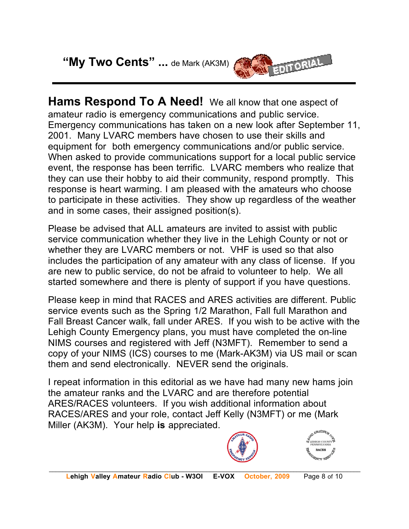**"My Two Cents" ...** de Mark (AK3M)



**Hams Respond To A Need!** We all know that one aspect of amateur radio is emergency communications and public service. Emergency communications has taken on a new look after September 11, 2001. Many LVARC members have chosen to use their skills and equipment for both emergency communications and/or public service. When asked to provide communications support for a local public service event, the response has been terrific. LVARC members who realize that they can use their hobby to aid their community, respond promptly. This response is heart warming. I am pleased with the amateurs who choose to participate in these activities. They show up regardless of the weather and in some cases, their assigned position(s).

Please be advised that ALL amateurs are invited to assist with public service communication whether they live in the Lehigh County or not or whether they are LVARC members or not. VHF is used so that also includes the participation of any amateur with any class of license. If you are new to public service, do not be afraid to volunteer to help. We all started somewhere and there is plenty of support if you have questions.

Please keep in mind that RACES and ARES activities are different. Public service events such as the Spring 1/2 Marathon, Fall full Marathon and Fall Breast Cancer walk, fall under ARES. If you wish to be active with the Lehigh County Emergency plans, you must have completed the on-line NIMS courses and registered with Jeff (N3MFT). Remember to send a copy of your NIMS (ICS) courses to me (Mark-AK3M) via US mail or scan them and send electronically. NEVER send the originals.

I repeat information in this editorial as we have had many new hams join the amateur ranks and the LVARC and are therefore potential ARES/RACES volunteers. If you wish additional information about RACES/ARES and your role, contact Jeff Kelly (N3MFT) or me (Mark Miller (AK3M). Your help **is** appreciated.



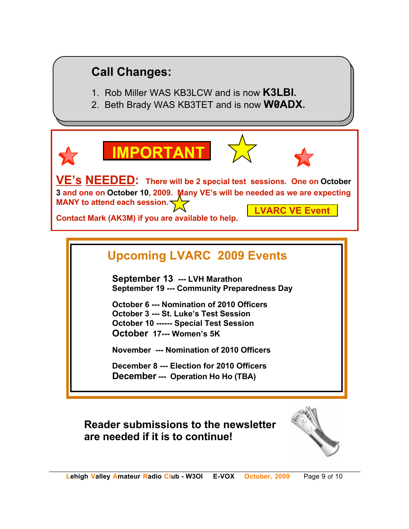# **Call Changes:**

- 1. Rob Miller WAS KB3LCW and is now **K3LBI.**
- 2. Beth Brady WAS KB3TET and is now **W0ADX.**



**VE's NEEDED: There will be 2 special test sessions. One on October 3 and one on October 10, 2009. Many VE's will be needed as we are expecting MANY to attend each session. LVARC VE Event**

**Contact Mark (AK3M) if you are available to help.**

**IMPORTANT**

# **Upcoming LVARC 2009 Events**

**September 13 --- LVH Marathon September 19 --- Community Preparedness Day**

**October 6 --- Nomination of 2010 Officers October 3 --- St. Luke's Test Session October 10 ------ Special Test Session October 17--- Women's 5K** 

**November --- Nomination of 2010 Officers**

**December 8 --- Election for 2010 Officers December --- Operation Ho Ho (TBA)**

**Reader submissions to the newsletter are needed if it is to continue!**